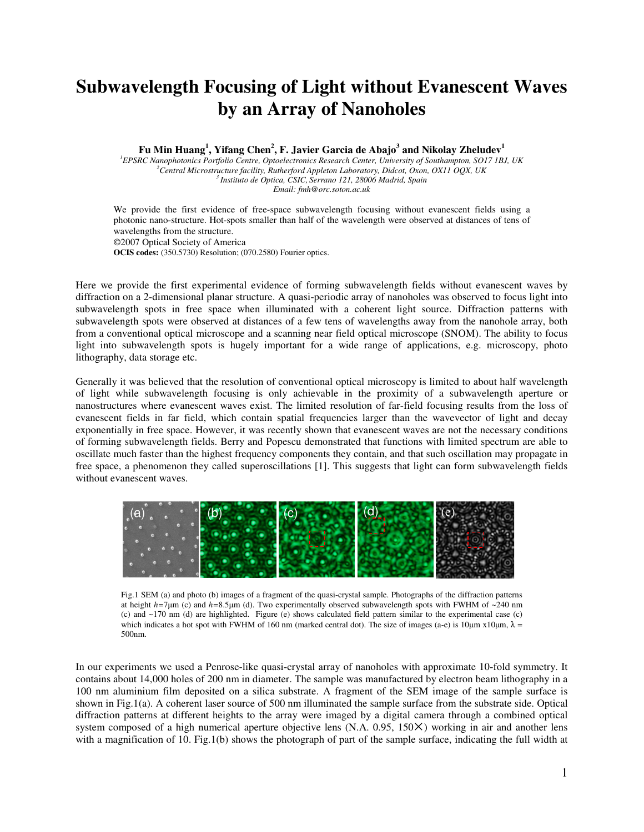## **Subwavelength Focusing of Light without Evanescent Waves by an Array of Nanoholes**

**Fu Min Huang<sup>1</sup> , Yifang Chen<sup>2</sup> , F. Javier Garcia de Abajo<sup>3</sup> and Nikolay Zheludev<sup>1</sup>**

*EPSRC Nanophotonics Portfolio Centre, Optoelectronics Research Center, University of Southampton, SO17 1BJ, UK Central Microstructure facility, Rutherford Appleton Laboratory, Didcot, Oxon, OX11 OQX, UK Instituto de Optica, CSIC, Serrano 121, 28006 Madrid, Spain Email: fmh@orc.soton.ac.uk* 

We provide the first evidence of free-space subwavelength focusing without evanescent fields using a photonic nano-structure. Hot-spots smaller than half of the wavelength were observed at distances of tens of wavelengths from the structure. ©2007 Optical Society of America **OCIS codes:** (350.5730) Resolution; (070.2580) Fourier optics.

Here we provide the first experimental evidence of forming subwavelength fields without evanescent waves by diffraction on a 2-dimensional planar structure. A quasi-periodic array of nanoholes was observed to focus light into subwavelength spots in free space when illuminated with a coherent light source. Diffraction patterns with subwavelength spots were observed at distances of a few tens of wavelengths away from the nanohole array, both from a conventional optical microscope and a scanning near field optical microscope (SNOM). The ability to focus light into subwavelength spots is hugely important for a wide range of applications, e.g. microscopy, photo lithography, data storage etc.

Generally it was believed that the resolution of conventional optical microscopy is limited to about half wavelength of light while subwavelength focusing is only achievable in the proximity of a subwavelength aperture or nanostructures where evanescent waves exist. The limited resolution of far-field focusing results from the loss of evanescent fields in far field, which contain spatial frequencies larger than the wavevector of light and decay exponentially in free space. However, it was recently shown that evanescent waves are not the necessary conditions of forming subwavelength fields. Berry and Popescu demonstrated that functions with limited spectrum are able to oscillate much faster than the highest frequency components they contain, and that such oscillation may propagate in free space, a phenomenon they called superoscillations [1]. This suggests that light can form subwavelength fields without evanescent waves.



Fig.1 SEM (a) and photo (b) images of a fragment of the quasi-crystal sample. Photographs of the diffraction patterns at height *h=*7µm (c) and *h=*8.5µm (d). Two experimentally observed subwavelength spots with FWHM of ~240 nm (c) and ~170 nm (d) are highlighted. Figure (e) shows calculated field pattern similar to the experimental case (c) which indicates a hot spot with FWHM of 160 nm (marked central dot). The size of images (a-e) is 10 $\mu$ m x10 $\mu$ m,  $\lambda$  = 500nm.

In our experiments we used a Penrose-like quasi-crystal array of nanoholes with approximate 10-fold symmetry. It contains about 14,000 holes of 200 nm in diameter. The sample was manufactured by electron beam lithography in a 100 nm aluminium film deposited on a silica substrate. A fragment of the SEM image of the sample surface is shown in Fig.1(a). A coherent laser source of 500 nm illuminated the sample surface from the substrate side. Optical diffraction patterns at different heights to the array were imaged by a digital camera through a combined optical system composed of a high numerical aperture objective lens (N.A. 0.95, 150×) working in air and another lens with a magnification of 10. Fig.1(b) shows the photograph of part of the sample surface, indicating the full width at